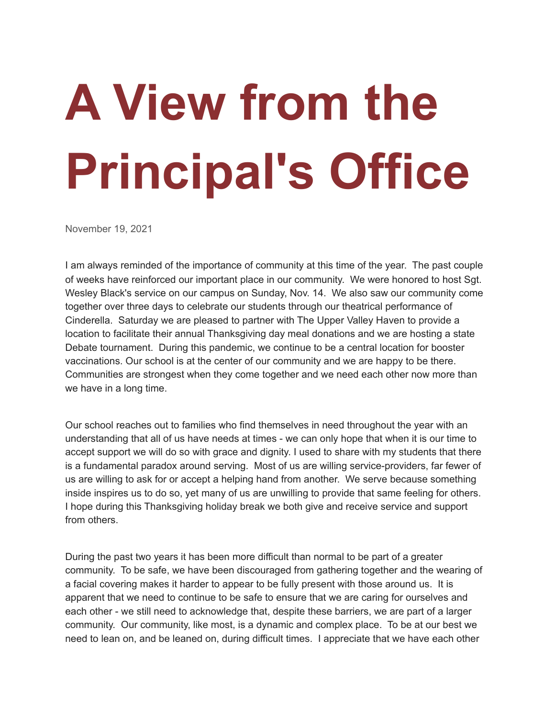## **A View from the Principal's Office**

November 19, 2021

I am always reminded of the importance of community at this time of the year. The past couple of weeks have reinforced our important place in our community. We were honored to host Sgt. Wesley Black's service on our campus on Sunday, Nov. 14. We also saw our community come together over three days to celebrate our students through our theatrical performance of Cinderella. Saturday we are pleased to partner with The Upper Valley Haven to provide a location to facilitate their annual Thanksgiving day meal donations and we are hosting a state Debate tournament. During this pandemic, we continue to be a central location for booster vaccinations. Our school is at the center of our community and we are happy to be there. Communities are strongest when they come together and we need each other now more than we have in a long time.

Our school reaches out to families who find themselves in need throughout the year with an understanding that all of us have needs at times - we can only hope that when it is our time to accept support we will do so with grace and dignity. I used to share with my students that there is a fundamental paradox around serving. Most of us are willing service-providers, far fewer of us are willing to ask for or accept a helping hand from another. We serve because something inside inspires us to do so, yet many of us are unwilling to provide that same feeling for others. I hope during this Thanksgiving holiday break we both give and receive service and support from others.

During the past two years it has been more difficult than normal to be part of a greater community. To be safe, we have been discouraged from gathering together and the wearing of a facial covering makes it harder to appear to be fully present with those around us. It is apparent that we need to continue to be safe to ensure that we are caring for ourselves and each other - we still need to acknowledge that, despite these barriers, we are part of a larger community. Our community, like most, is a dynamic and complex place. To be at our best we need to lean on, and be leaned on, during difficult times. I appreciate that we have each other